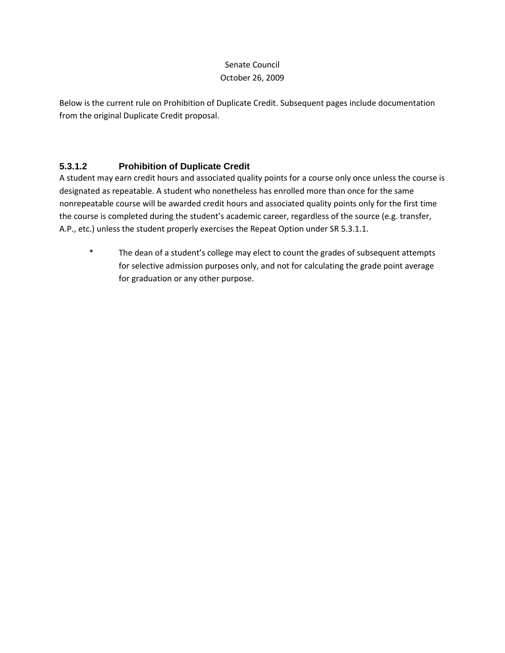## Senate Council October 26, 2009

Below is the current rule on Prohibition of Duplicate Credit. Subsequent pages include documentation from the original Duplicate Credit proposal.

# **5.3.1.2 Prohibition of Duplicate Credit**

A student may earn credit hours and associated quality points for a course only once unless the course is designated as repeatable. A student who nonetheless has enrolled more than once for the same nonrepeatable course will be awarded credit hours and associated quality points only for the first time the course is completed during the student's academic career, regardless of the source (e.g. transfer, A.P., etc.) unless the student properly exercises the Repeat Option under SR 5.3.1.1.

\* The dean of a student's college may elect to count the grades of subsequent attempts for selective admission purposes only, and not for calculating the grade point average for graduation or any other purpose.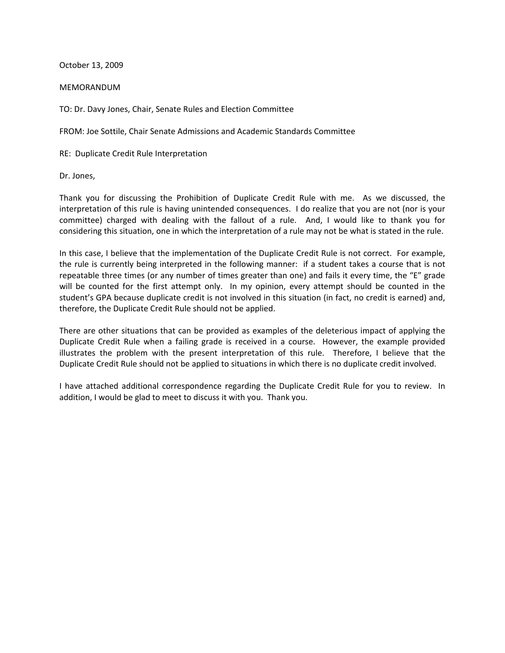October 13, 2009

MEMORANDUM

TO: Dr. Davy Jones, Chair, Senate Rules and Election Committee

FROM: Joe Sottile, Chair Senate Admissions and Academic Standards Committee

RE: Duplicate Credit Rule Interpretation

Dr. Jones,

Thank you for discussing the Prohibition of Duplicate Credit Rule with me. As we discussed, the interpretation of this rule is having unintended consequences. I do realize that you are not (nor is your committee) charged with dealing with the fallout of a rule. And, I would like to thank you for considering this situation, one in which the interpretation of a rule may not be what is stated in the rule.

In this case, I believe that the implementation of the Duplicate Credit Rule is not correct. For example, the rule is currently being interpreted in the following manner: if a student takes a course that is not repeatable three times (or any number of times greater than one) and fails it every time, the "E" grade will be counted for the first attempt only. In my opinion, every attempt should be counted in the student's GPA because duplicate credit is not involved in this situation (in fact, no credit is earned) and, therefore, the Duplicate Credit Rule should not be applied.

There are other situations that can be provided as examples of the deleterious impact of applying the Duplicate Credit Rule when a failing grade is received in a course. However, the example provided illustrates the problem with the present interpretation of this rule. Therefore, I believe that the Duplicate Credit Rule should not be applied to situations in which there is no duplicate credit involved.

I have attached additional correspondence regarding the Duplicate Credit Rule for you to review. In addition, I would be glad to meet to discuss it with you. Thank you.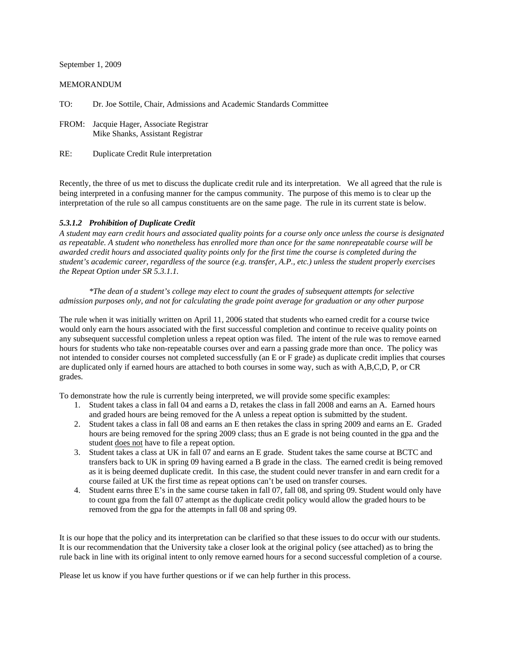#### September 1, 2009

#### MEMORANDUM

TO: Dr. Joe Sottile, Chair, Admissions and Academic Standards Committee

- FROM: Jacquie Hager, Associate Registrar Mike Shanks, Assistant Registrar
- RE: Duplicate Credit Rule interpretation

Recently, the three of us met to discuss the duplicate credit rule and its interpretation. We all agreed that the rule is being interpreted in a confusing manner for the campus community. The purpose of this memo is to clear up the interpretation of the rule so all campus constituents are on the same page. The rule in its current state is below.

## *5.3.1.2 Prohibition of Duplicate Credit*

*A student may earn credit hours and associated quality points for a course only once unless the course is designated as repeatable. A student who nonetheless has enrolled more than once for the same nonrepeatable course will be awarded credit hours and associated quality points only for the first time the course is completed during the student's academic career, regardless of the source (e.g. transfer, A.P., etc.) unless the student properly exercises the Repeat Option under SR 5.3.1.1.* 

*\*The dean of a student's college may elect to count the grades of subsequent attempts for selective admission purposes only, and not for calculating the grade point average for graduation or any other purpose* 

The rule when it was initially written on April 11, 2006 stated that students who earned credit for a course twice would only earn the hours associated with the first successful completion and continue to receive quality points on any subsequent successful completion unless a repeat option was filed. The intent of the rule was to remove earned hours for students who take non-repeatable courses over and earn a passing grade more than once. The policy was not intended to consider courses not completed successfully (an E or F grade) as duplicate credit implies that courses are duplicated only if earned hours are attached to both courses in some way, such as with A,B,C,D, P, or CR grades.

To demonstrate how the rule is currently being interpreted, we will provide some specific examples:

- 1. Student takes a class in fall 04 and earns a D, retakes the class in fall 2008 and earns an A. Earned hours and graded hours are being removed for the A unless a repeat option is submitted by the student.
- 2. Student takes a class in fall 08 and earns an E then retakes the class in spring 2009 and earns an E. Graded hours are being removed for the spring 2009 class; thus an E grade is not being counted in the gpa and the student does not have to file a repeat option.
- 3. Student takes a class at UK in fall 07 and earns an E grade. Student takes the same course at BCTC and transfers back to UK in spring 09 having earned a B grade in the class. The earned credit is being removed as it is being deemed duplicate credit. In this case, the student could never transfer in and earn credit for a course failed at UK the first time as repeat options can't be used on transfer courses.
- 4. Student earns three E's in the same course taken in fall 07, fall 08, and spring 09. Student would only have to count gpa from the fall 07 attempt as the duplicate credit policy would allow the graded hours to be removed from the gpa for the attempts in fall 08 and spring 09.

It is our hope that the policy and its interpretation can be clarified so that these issues to do occur with our students. It is our recommendation that the University take a closer look at the original policy (see attached) as to bring the rule back in line with its original intent to only remove earned hours for a second successful completion of a course.

Please let us know if you have further questions or if we can help further in this process.